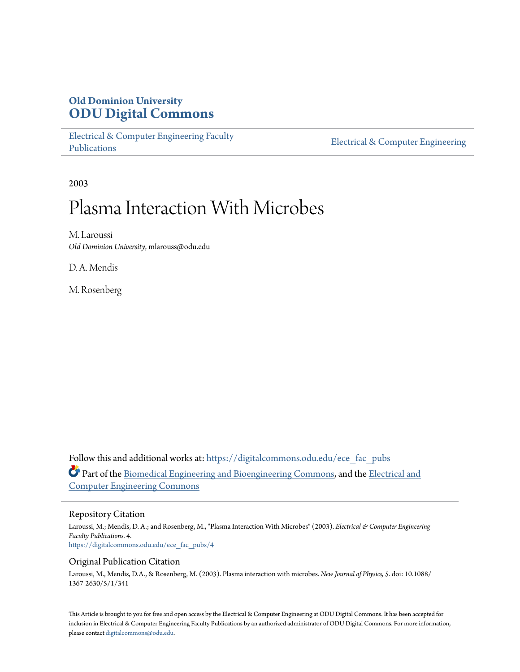## **Old Dominion University [ODU Digital Commons](https://digitalcommons.odu.edu?utm_source=digitalcommons.odu.edu%2Fece_fac_pubs%2F4&utm_medium=PDF&utm_campaign=PDFCoverPages)**

[Electrical & Computer Engineering Faculty](https://digitalcommons.odu.edu/ece_fac_pubs?utm_source=digitalcommons.odu.edu%2Fece_fac_pubs%2F4&utm_medium=PDF&utm_campaign=PDFCoverPages) [Publications](https://digitalcommons.odu.edu/ece_fac_pubs?utm_source=digitalcommons.odu.edu%2Fece_fac_pubs%2F4&utm_medium=PDF&utm_campaign=PDFCoverPages)

[Electrical & Computer Engineering](https://digitalcommons.odu.edu/ece?utm_source=digitalcommons.odu.edu%2Fece_fac_pubs%2F4&utm_medium=PDF&utm_campaign=PDFCoverPages)

2003

# Plasma Interaction With Microbes

M. Laroussi *Old Dominion University*, mlarouss@odu.edu

D. A. Mendis

M. Rosenberg

Follow this and additional works at: [https://digitalcommons.odu.edu/ece\\_fac\\_pubs](https://digitalcommons.odu.edu/ece_fac_pubs?utm_source=digitalcommons.odu.edu%2Fece_fac_pubs%2F4&utm_medium=PDF&utm_campaign=PDFCoverPages) Part of the [Biomedical Engineering and Bioengineering Commons,](http://network.bepress.com/hgg/discipline/229?utm_source=digitalcommons.odu.edu%2Fece_fac_pubs%2F4&utm_medium=PDF&utm_campaign=PDFCoverPages) and the [Electrical and](http://network.bepress.com/hgg/discipline/266?utm_source=digitalcommons.odu.edu%2Fece_fac_pubs%2F4&utm_medium=PDF&utm_campaign=PDFCoverPages) [Computer Engineering Commons](http://network.bepress.com/hgg/discipline/266?utm_source=digitalcommons.odu.edu%2Fece_fac_pubs%2F4&utm_medium=PDF&utm_campaign=PDFCoverPages)

#### Repository Citation

Laroussi, M.; Mendis, D. A.; and Rosenberg, M., "Plasma Interaction With Microbes" (2003). *Electrical & Computer Engineering Faculty Publications*. 4. [https://digitalcommons.odu.edu/ece\\_fac\\_pubs/4](https://digitalcommons.odu.edu/ece_fac_pubs/4?utm_source=digitalcommons.odu.edu%2Fece_fac_pubs%2F4&utm_medium=PDF&utm_campaign=PDFCoverPages)

#### Original Publication Citation

Laroussi, M., Mendis, D.A., & Rosenberg, M. (2003). Plasma interaction with microbes. *New Journal of Physics, 5*. doi: 10.1088/ 1367-2630/5/1/341

This Article is brought to you for free and open access by the Electrical & Computer Engineering at ODU Digital Commons. It has been accepted for inclusion in Electrical & Computer Engineering Faculty Publications by an authorized administrator of ODU Digital Commons. For more information, please contact [digitalcommons@odu.edu](mailto:digitalcommons@odu.edu).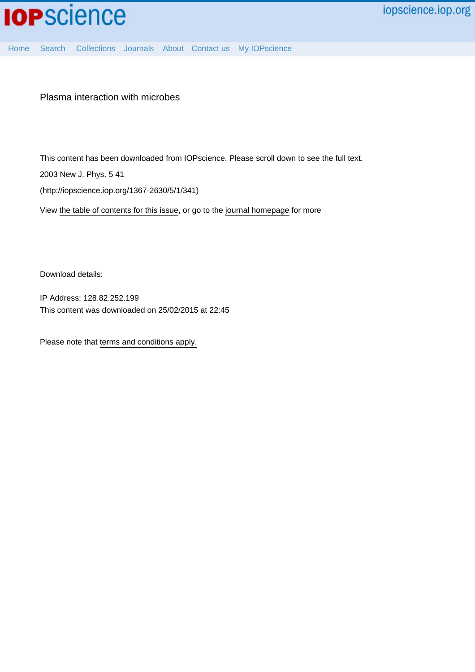

[Home](http://iopscience.iop.org/) [Search](http://iopscience.iop.org/search) [Collections](http://iopscience.iop.org/collections) [Journals](http://iopscience.iop.org/journals) [About](http://iopscience.iop.org/page/aboutioppublishing) [Contact us](http://iopscience.iop.org/contact) [My IOPscience](http://iopscience.iop.org/myiopscience)

Plasma interaction with microbes

This content has been downloaded from IOPscience. Please scroll down to see the full text.

2003 New J. Phys. 5 41

(http://iopscience.iop.org/1367-2630/5/1/341)

View [the table of contents for this issue](http://iopscience.iop.org/1367-2630/5/1), or go to the [journal homepage](http://iopscience.iop.org/1367-2630) for more

Download details:

IP Address: 128.82.252.199 This content was downloaded on 25/02/2015 at 22:45

Please note that [terms and conditions apply.](iopscience.iop.org/page/terms)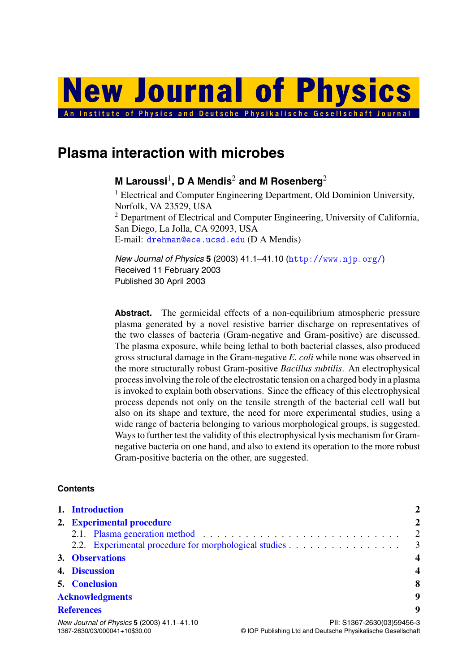

# **Plasma interaction with microbes**

# **M Laroussi<sup>1</sup>, D A Mendis<sup>2</sup> and M Rosenberg<sup>2</sup>**

<sup>1</sup> Electrical and Computer Engineering Department, Old Dominion University, Norfolk, VA 23529, USA

<sup>2</sup> Department of Electrical and Computer Engineering, University of California, San Diego, La Jolla, CA 92093, USA E-mail: [drehman@ece.ucsd.edu](mailto:drehman@ece.ucsd.edu) (D A Mendis)

*New Journal of Physics* **5** (2003) 41.1–41.10 (<http://www.njp.org/>) Received 11 February 2003 Published 30 April 2003

Abstract. The germicidal effects of a non-equilibrium atmospheric pressure plasma generated by a novel resistive barrier discharge on representatives of the two classes of bacteria (Gram-negative and Gram-positive) are discussed. The plasma exposure, while being lethal to both bacterial classes, also produced gross structural damage in the Gram-negative *E. coli* while none was observed in the more structurally robust Gram-positive *Bacillus subtilis*. An electrophysical process involving the role of the electrostatic tension on a charged body in a plasma is invoked to explain both observations. Since the efficacy of this electrophysical process depends not only on the tensile strength of the bacterial cell wall but also on its shape and texture, the need for more experimental studies, using a wide range of bacteria belonging to various morphological groups, is suggested. Ways to further test the validity of this electrophysical lysis mechanism for Gramnegative bacteria on one hand, and also to extend its operation to the more robust Gram-positive bacteria on the other, are suggested.

### **Contents**

| 1. Introduction                                                          | $\mathbf{2}$            |
|--------------------------------------------------------------------------|-------------------------|
| 2. Experimental procedure                                                | $\overline{2}$          |
|                                                                          | 2                       |
| 2.2. Experimental procedure for morphological studies                    | 3                       |
| 3. Observations                                                          | $\overline{\mathbf{4}}$ |
| 4. Discussion                                                            | $\overline{\mathbf{4}}$ |
| 5. Conclusion                                                            | 8                       |
| <b>Acknowledgments</b>                                                   | 9                       |
| <b>References</b>                                                        | 9                       |
| New Journal of Physics 5 (2003) 41.1-41.10<br>PII: S1367-2630(03)59456-3 |                         |

1367-2630/03/000041+10\$30.00 © IOP Publishing Ltd and Deutsche Physikalische Gesellschaft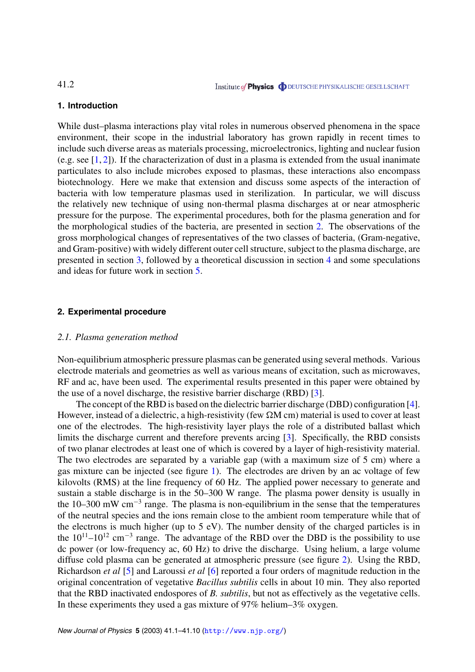#### <span id="page-3-0"></span>**1. Introduction**

While dust–plasma interactions play vital roles in numerous observed phenomena in the space environment, their scope in the industrial laboratory has grown rapidly in recent times to include such diverse areas as materials processing, microelectronics, lighting and nuclear fusion (e.g. see  $[1, 2]$  $[1, 2]$  $[1, 2]$  $[1, 2]$ ). If the characterization of dust in a plasma is extended from the usual inanimate particulates to also include microbes exposed to plasmas, these interactions also encompass biotechnology. Here we make that extension and discuss some aspects of the interaction of bacteria with low temperature plasmas used in sterilization. In particular, we will discuss the relatively new technique of using non-thermal plasma discharges at or near atmospheric pressure for the purpose. The experimental procedures, both for the plasma generation and for the morphological studies of the bacteria, are presented in section 2. The observations of the gross morphological changes of representatives of the two classes of bacteria, (Gram-negative, and Gram-positive) with widely different outer cell structure, subject to the plasma discharge, are presented in section [3,](#page-5-0) followed by a theoretical discussion in section [4](#page-5-0) and some speculations and ideas for future work in section [5.](#page-9-0)

#### **2. Experimental procedure**

#### *2.1. Plasma generation method*

Non-equilibrium atmospheric pressure plasmas can be generated using several methods. Various electrode materials and geometries as well as various means of excitation, such as microwaves, RF and ac, have been used. The experimental results presented in this paper were obtained by the use of a novel discharge, the resistive barrier discharge (RBD) [\[3](#page-10-0)].

The concept of the RBD is based on the dielectric barrier discharge (DBD) configuration [\[4](#page-10-0)]. However, instead of a dielectric, a high-resistivity (few  $\Omega$ M cm) material is used to cover at least one of the electrodes. The high-resistivity layer plays the role of a distributed ballast which limits the discharge current and therefore prevents arcing [[3\]](#page-10-0). Specifically, the RBD consists of two planar electrodes at least one of which is covered by a layer of high-resistivity material. The two electrodes are separated by a variable gap (with a maximum size of 5 cm) where a gas mixture can be injected (see figure [1](#page-4-0)). The electrodes are driven by an ac voltage of few kilovolts (RMS) at the line frequency of 60 Hz. The applied power necessary to generate and sustain a stable discharge is in the 50–300 W range. The plasma power density is usually in the 10–300 mW cm<sup>-3</sup> range. The plasma is non-equilibrium in the sense that the temperatures of the neutral species and the ions remain close to the ambient room temperature while that of the electrons is much higher (up to 5 eV). The number density of the charged particles is in the  $10^{11}$ – $10^{12}$  cm<sup>-3</sup> range. The advantage of the RBD over the DBD is the possibility to use dc power (or low-frequency ac, 60 Hz) to drive the discharge. Using helium, a large volume diffuse cold plasma can be generated at atmospheric pressure (see figure [2\)](#page-4-0). Using the RBD, Richardson *et al* [[5\]](#page-10-0) and Laroussi *et al* [\[6](#page-10-0)] reported a four orders of magnitude reduction in the original concentration of vegetative *Bacillus subtilis* cells in about 10 min. They also reported that the RBD inactivated endospores of *B. subtilis*, but not as effectively as the vegetative cells. In these experiments they used a gas mixture of 97% helium–3% oxygen.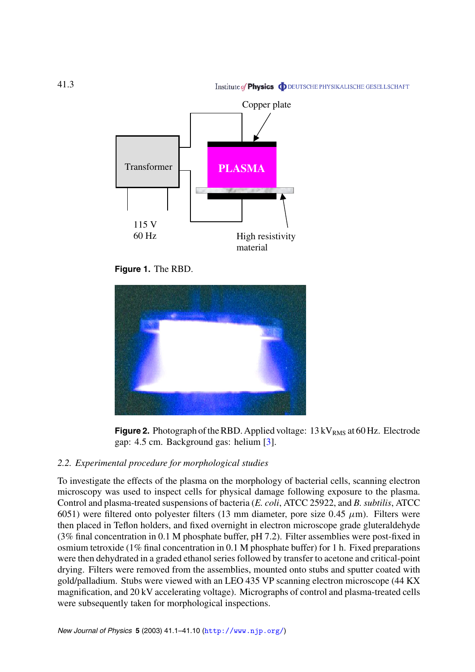<span id="page-4-0"></span>







### *2.2. Experimental procedure for morphological studies*

To investigate the effects of the plasma on the morphology of bacterial cells, scanning electron microscopy was used to inspect cells for physical damage following exposure to the plasma. Control and plasma-treated suspensions of bacteria (*E. coli*, ATCC 25922, and *B. subtilis*, ATCC 6051) were filtered onto polyester filters (13 mm diameter, pore size 0.45  $\mu$ m). Filters were then placed in Teflon holders, and fixed overnight in electron microscope grade gluteraldehyde (3% final concentration in 0.1 M phosphate buffer, pH 7.2). Filter assemblies were post-fixed in osmium tetroxide (1% final concentration in 0.1 M phosphate buffer) for 1 h. Fixed preparations were then dehydrated in a graded ethanol series followed by transfer to acetone and critical-point drying. Filters were removed from the assemblies, mounted onto stubs and sputter coated with gold/palladium. Stubs were viewed with an LEO 435 VP scanning electron microscope (44 KX magnification, and 20 kV accelerating voltage). Micrographs of control and plasma-treated cells were subsequently taken for morphological inspections.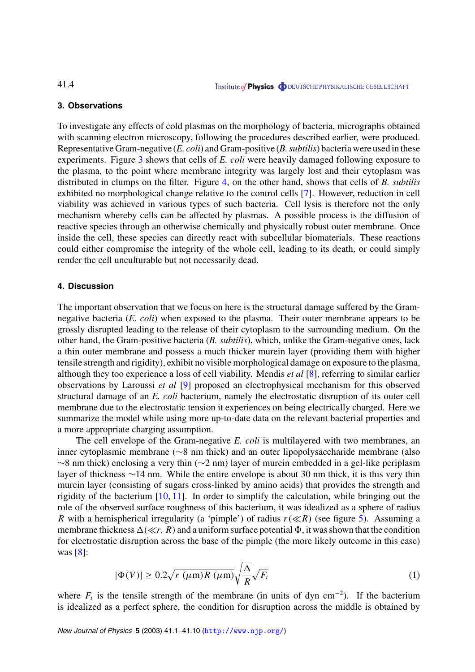#### <span id="page-5-0"></span>**3. Observations**

To investigate any effects of cold plasmas on the morphology of bacteria, micrographs obtained with scanning electron microscopy, following the procedures described earlier, were produced. Representative Gram-negative (*E. coli*) and Gram-positive (*B. subtilis*) bacteria were used in these experiments. Figure [3](#page-6-0) shows that cells of *E. coli* were heavily damaged following exposure to the plasma, to the point where membrane integrity was largely lost and their cytoplasm was distributed in clumps on the filter. Figure [4](#page-7-0), on the other hand, shows that cells of *B. subtilis* exhibited no morphological change relative to the control cells [[7\]](#page-10-0). However, reduction in cell viability was achieved in various types of such bacteria. Cell lysis is therefore not the only mechanism whereby cells can be affected by plasmas. A possible process is the diffusion of reactive species through an otherwise chemically and physically robust outer membrane. Once inside the cell, these species can directly react with subcellular biomaterials. These reactions could either compromise the integrity of the whole cell, leading to its death, or could simply render the cell unculturable but not necessarily dead.

#### **4. Discussion**

The important observation that we focus on here is the structural damage suffered by the Gramnegative bacteria (*E. coli*) when exposed to the plasma. Their outer membrane appears to be grossly disrupted leading to the release of their cytoplasm to the surrounding medium. On the other hand, the Gram-positive bacteria (*B. subtilis*), which, unlike the Gram-negative ones, lack a thin outer membrane and possess a much thicker murein layer (providing them with higher tensile strength and rigidity), exhibit no visible morphological damage on exposure to the plasma, although they too experience a loss of cell viability. Mendis *et al* [\[8](#page-10-0)], referring to similar earlier observations by Laroussi *et al* [[9](#page-10-0)] proposed an electrophysical mechanism for this observed structural damage of an *E. coli* bacterium, namely the electrostatic disruption of its outer cell membrane due to the electrostatic tension it experiences on being electrically charged. Here we summarize the model while using more up-to-date data on the relevant bacterial properties and a more appropriate charging assumption.

The cell envelope of the Gram-negative *E. coli* is multilayered with two membranes, an inner cytoplasmic membrane (∼8 nm thick) and an outer lipopolysaccharide membrane (also ∼8 nm thick) enclosing a very thin (∼2 nm) layer of murein embedded in a gel-like periplasm layer of thickness ∼14 nm. While the entire envelope is about 30 nm thick, it is this very thin murein layer (consisting of sugars cross-linked by amino acids) that provides the strength and rigidity of the bacterium [[10,](#page-11-0) [11](#page-11-0)]. In order to simplify the calculation, while bringing out the role of the observed surface roughness of this bacterium, it was idealized as a sphere of radius *R* with a hemispherical irregularity (a 'pimple') of radius  $r(\ll R)$  (see figure [5](#page-8-0)). Assuming a membrane thickness  $\Delta(\ll r, R)$  and a uniform surface potential  $\Phi$ , it was shown that the condition for electrostatic disruption across the base of the pimple (the more likely outcome in this case) was [\[8](#page-10-0)]:

$$
|\Phi(V)| \ge 0.2\sqrt{r \ (\mu \text{m})R \ (\mu \text{m})}\sqrt{\frac{\Delta}{R}}\sqrt{F_t}
$$
\n(1)

where  $F_t$  is the tensile strength of the membrane (in units of dyn cm<sup>-2</sup>). If the bacterium is idealized as a perfect sphere, the condition for disruption across the middle is obtained by

*New Journal of Physics* **5** (2003) 41.1–41.10 (<http://www.njp.org/>)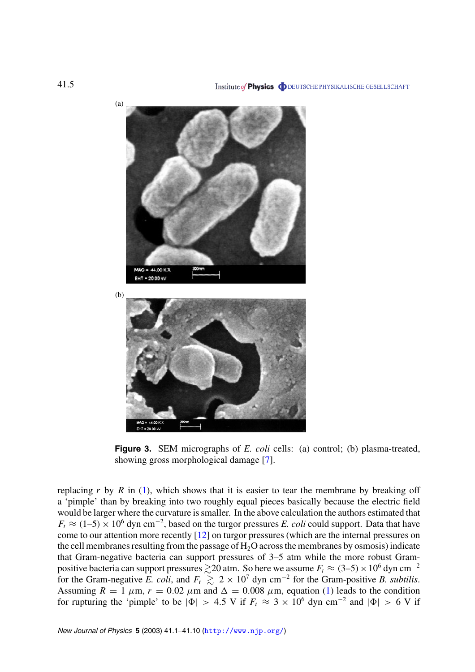<span id="page-6-0"></span>

**Figure 3.** SEM micrographs of *E. coli* cells: (a) control; (b) plasma-treated, showing gross morphological damage [\[7](#page-10-0)].

replacing  $r$  by  $R$  in ([1\)](#page-5-0), which shows that it is easier to tear the membrane by breaking off a 'pimple' than by breaking into two roughly equal pieces basically because the electric field would be larger where the curvature is smaller. In the above calculation the authors estimated that  $F_t \approx (1-5) \times 10^6$  dyn cm<sup>-2</sup>, based on the turgor pressures *E. coli* could support. Data that have come to our attention more recently [\[12\]](#page-11-0) on turgor pressures (which are the internal pressures on the cell membranes resulting from the passage of  $H_2O$  across the membranes by osmosis) indicate that Gram-negative bacteria can support pressures of 3–5 atm while the more robust Grampositive bacteria can support pressures  $\gtrsim$  20 atm. So here we assume  $F_t \approx (3-5) \times 10^6$  dyn cm<sup>-2</sup> for the Gram-negative *E. coli*, and  $F_t \gtrsim 2 \times 10^7$  dyn cm<sup>-2</sup> for the Gram-positive *B. subtilis.* Assuming  $R = 1 \mu m$ ,  $r = 0.02 \mu m$  and  $\Delta = 0.008 \mu m$ , equation [\(1](#page-5-0)) leads to the condition for rupturing the 'pimple' to be  $|\Phi| > 4.5$  V if  $F_t \approx 3 \times 10^6$  dyn cm<sup>-2</sup> and  $|\Phi| > 6$  V if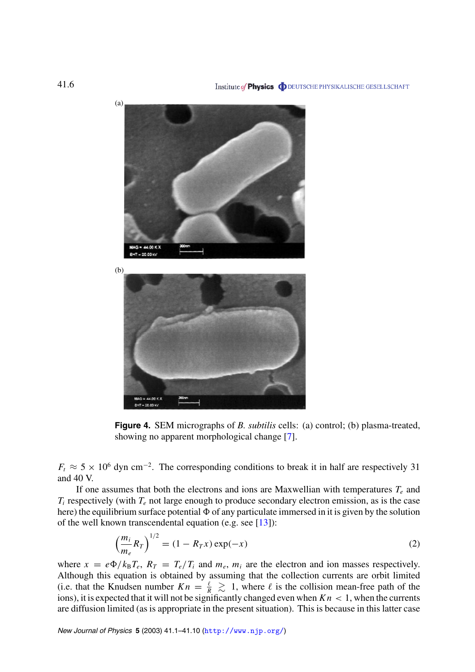<span id="page-7-0"></span>

**Figure 4.** SEM micrographs of *B. subtilis* cells: (a) control; (b) plasma-treated, showing no apparent morphological change [[7\]](#page-10-0).

 $F_t \approx 5 \times 10^6$  dyn cm<sup>-2</sup>. The corresponding conditions to break it in half are respectively 31 and 40 V.

If one assumes that both the electrons and ions are Maxwellian with temperatures  $T_e$  and *Ti* respectively (with *Te* not large enough to produce secondary electron emission, as is the case here) the equilibrium surface potential  $\Phi$  of any particulate immersed in it is given by the solution of the well known transcendental equation (e.g. see [\[13\]](#page-11-0)):

$$
\left(\frac{m_i}{m_e}R_T\right)^{1/2} = (1 - R_T x) \exp(-x)
$$
\n(2)

where  $x = e\Phi/k_BT_e$ ,  $R_T = T_e/T_i$  and  $m_e$ ,  $m_i$  are the electron and ion masses respectively. Although this equation is obtained by assuming that the collection currents are orbit limited (i.e. that the Knudsen number  $Kn = \frac{\ell}{R} \geq 1$ , where  $\ell$  is the collision mean-free path of the ions), it is expected that it will not be significantly changed even when  $Kn < 1$ , when the currents are diffusion limited (as is appropriate in the present situation). This is because in this latter case

*New Journal of Physics* **5** (2003) 41.1–41.10 (<http://www.njp.org/>)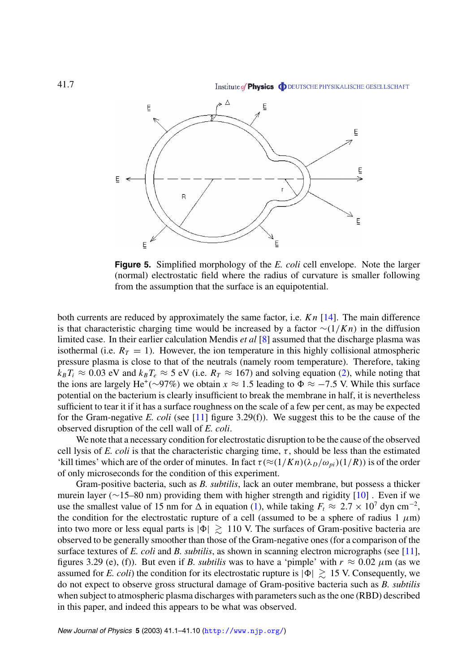<span id="page-8-0"></span>

**Figure 5.** Simplified morphology of the *E. coli* cell envelope. Note the larger (normal) electrostatic field where the radius of curvature is smaller following from the assumption that the surface is an equipotential.

both currents are reduced by approximately the same factor, i.e. *Kn* [\[14](#page-11-0)]. The main difference is that characteristic charging time would be increased by a factor ∼*(*1*/Kn)* in the diffusion limited case. In their earlier calculation Mendis *et al* [\[8](#page-10-0)] assumed that the discharge plasma was isothermal (i.e.  $R_T = 1$ ). However, the ion temperature in this highly collisional atmospheric pressure plasma is close to that of the neutrals (namely room temperature). Therefore, taking  $k_B T_i \approx 0.03$  eV and  $k_B T_e \approx 5$  eV (i.e.  $R_T \approx 167$ ) and solving equation ([2\)](#page-7-0), while noting that the ions are largely He<sup>+</sup>(∼97%) we obtain  $x \approx 1.5$  leading to  $\Phi \approx -7.5$  V. While this surface potential on the bacterium is clearly insufficient to break the membrane in half, it is nevertheless sufficient to tear it if it has a surface roughness on the scale of a few per cent, as may be expected for the Gram-negative *E. coli* (see [[11\]](#page-11-0) figure 3.29(f)). We suggest this to be the cause of the observed disruption of the cell wall of *E. coli*.

We note that a necessary condition for electrostatic disruption to be the cause of the observed cell lysis of *E. coli* is that the characteristic charging time,  $\tau$ , should be less than the estimated 'kill times' which are of the order of minutes. In fact  $\tau (\approx (1/Kn)(\lambda_D/\omega_{pi})(1/R))$  is of the order of only microseconds for the condition of this experiment.

Gram-positive bacteria, such as *B. subtilis*, lack an outer membrane, but possess a thicker murein layer (∼15–80 nm) providing them with higher strength and rigidity [\[10](#page-11-0)] . Even if we use the smallest value of 15 nm for  $\Delta$  in equation ([1\)](#page-5-0), while taking  $F_t \approx 2.7 \times 10^7$  dyn cm<sup>-2</sup>, the condition for the electrostatic rupture of a cell (assumed to be a sphere of radius  $1 \mu m$ ) into two more or less equal parts is  $|\Phi| \ge 110$  V. The surfaces of Gram-positive bacteria are observed to be generally smoother than those of the Gram-negative ones (for a comparison of the surface textures of *E. coli* and *B. subtilis*, as shown in scanning electron micrographs (see [\[11](#page-11-0)], figures 3.29 (e), (f)). But even if *B*. *subtilis* was to have a 'pimple' with  $r \approx 0.02 \mu m$  (as we assumed for *E. coli*) the condition for its electrostatic rupture is  $|\Phi| \geq 15$  V. Consequently, we do not expect to observe gross structural damage of Gram-positive bacteria such as *B. subtilis* when subject to atmospheric plasma discharges with parameters such as the one (RBD) described in this paper, and indeed this appears to be what was observed.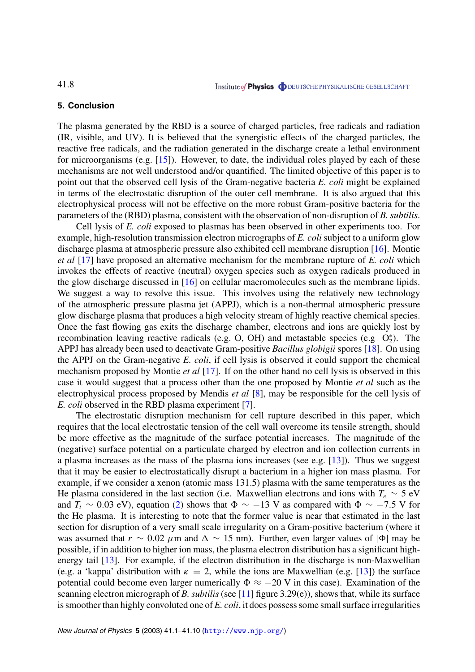#### <span id="page-9-0"></span>**5. Conclusion**

The plasma generated by the RBD is a source of charged particles, free radicals and radiation (IR, visible, and UV). It is believed that the synergistic effects of the charged particles, the reactive free radicals, and the radiation generated in the discharge create a lethal environment for microorganisms (e.g. [\[15](#page-11-0)]). However, to date, the individual roles played by each of these mechanisms are not well understood and/or quantified. The limited objective of this paper is to point out that the observed cell lysis of the Gram-negative bacteria *E. coli* might be explained in terms of the electrostatic disruption of the outer cell membrane. It is also argued that this electrophysical process will not be effective on the more robust Gram-positive bacteria for the parameters of the (RBD) plasma, consistent with the observation of non-disruption of *B. subtilis*.

Cell lysis of *E. coli* exposed to plasmas has been observed in other experiments too. For example, high-resolution transmission electron micrographs of *E. coli* subject to a uniform glow discharge plasma at atmospheric pressure also exhibited cell membrane disruption [[16\]](#page-11-0). Montie *et al* [\[17](#page-11-0)] have proposed an alternative mechanism for the membrane rupture of *E. coli* which invokes the effects of reactive (neutral) oxygen species such as oxygen radicals produced in the glow discharge discussed in [\[16](#page-11-0)] on cellular macromolecules such as the membrane lipids. We suggest a way to resolve this issue. This involves using the relatively new technology of the atmospheric pressure plasma jet (APPJ), which is a non-thermal atmospheric pressure glow discharge plasma that produces a high velocity stream of highly reactive chemical species. Once the fast flowing gas exits the discharge chamber, electrons and ions are quickly lost by recombination leaving reactive radicals (e.g. O, OH) and metastable species (e.g  $O_2^*$ ). The APPJ has already been used to deactivate Gram-positive *Bacillus globigii* spores [\[18\]](#page-11-0). On using the APPJ on the Gram-negative *E. coli*, if cell lysis is observed it could support the chemical mechanism proposed by Montie *et al* [[17\]](#page-11-0). If on the other hand no cell lysis is observed in this case it would suggest that a process other than the one proposed by Montie *et al* such as the electrophysical process proposed by Mendis *et al* [[8\]](#page-10-0), may be responsible for the cell lysis of *E. coli* observed in the RBD plasma experiment [\[7](#page-10-0)].

The electrostatic disruption mechanism for cell rupture described in this paper, which requires that the local electrostatic tension of the cell wall overcome its tensile strength, should be more effective as the magnitude of the surface potential increases. The magnitude of the (negative) surface potential on a particulate charged by electron and ion collection currents in a plasma increases as the mass of the plasma ions increases (see e.g. [\[13](#page-11-0)]). Thus we suggest that it may be easier to electrostatically disrupt a bacterium in a higher ion mass plasma. For example, if we consider a xenon (atomic mass 131.5) plasma with the same temperatures as the He plasma considered in the last section (i.e. Maxwellian electrons and ions with  $T_e \sim 5$  eV and *T<sub>i</sub>* ~ 0.03 eV), equation ([2\)](#page-7-0) shows that  $\Phi \sim -13$  V as compared with  $\Phi \sim -7.5$  V for the He plasma. It is interesting to note that the former value is near that estimated in the last section for disruption of a very small scale irregularity on a Gram-positive bacterium (where it was assumed that  $r \sim 0.02 \mu m$  and  $\Delta \sim 15 \text{ nm}$ ). Further, even larger values of  $|\Phi|$  may be possible, if in addition to higher ion mass, the plasma electron distribution has a significant highenergy tail [\[13](#page-11-0)]. For example, if the electron distribution in the discharge is non-Maxwellian (e.g. a 'kappa' distribution with  $\kappa = 2$ , while the ions are Maxwellian (e.g. [[13\]](#page-11-0)) the surface potential could become even larger numerically  $\Phi \approx -20$  V in this case). Examination of the scanning electron micrograph of *B. subtilis*(see [\[11](#page-11-0)] figure 3.29(e)), shows that, while its surface is smoother than highly convoluted one of *E. coli*, it does possess some small surface irregularities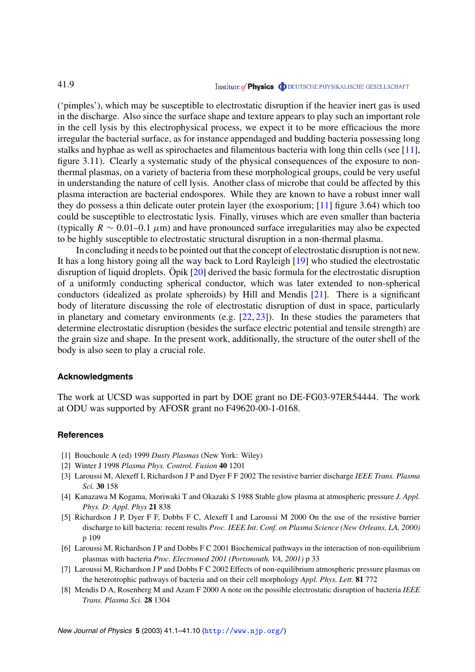<span id="page-10-0"></span>('pimples'), which may be susceptible to electrostatic disruption if the heavier inert gas is used in the discharge. Also since the surface shape and texture appears to play such an important role in the cell lysis by this electrophysical process, we expect it to be more efficacious the more irregular the bacterial surface, as for instance appendaged and budding bacteria possessing long stalks and hyphae as well as spirochaetes and filamentous bacteria with long thin cells (see [\[11](#page-11-0)], figure 3.11). Clearly a systematic study of the physical consequences of the exposure to nonthermal plasmas, on a variety of bacteria from these morphological groups, could be very useful in understanding the nature of cell lysis. Another class of microbe that could be affected by this plasma interaction are bacterial endospores. While they are known to have a robust inner wall they do possess a thin delicate outer protein layer (the exosporium; [\[11](#page-11-0)] figure 3.64) which too could be susceptible to electrostatic lysis. Finally, viruses which are even smaller than bacteria (typically  $R \sim 0.01-0.1 \mu m$ ) and have pronounced surface irregularities may also be expected to be highly susceptible to electrostatic structural disruption in a non-thermal plasma.

In concluding it needs to be pointed out that the concept of electrostatic disruption is not new. It has a long history going all the way back to Lord Rayleigh [[19\]](#page-11-0) who studied the electrostatic disruption of liquid droplets. Opik  $[20]$  $[20]$  $[20]$  derived the basic formula for the electrostatic disruption of a uniformly conducting spherical conductor, which was later extended to non-spherical conductors (idealized as prolate spheroids) by Hill and Mendis [[21](#page-11-0)]. There is a significant body of literature discussing the role of electrostatic disruption of dust in space, particularly in planetary and cometary environments (e.g.  $[22, 23]$  $[22, 23]$  $[22, 23]$  $[22, 23]$  $[22, 23]$ ). In these studies the parameters that determine electrostatic disruption (besides the surface electric potential and tensile strength) are the grain size and shape. In the present work, additionally, the structure of the outer shell of the body is also seen to play a crucial role.

#### **Acknowledgments**

The work at UCSD was supported in part by DOE grant no DE-FG03-97ER54444. The work at ODU was supported by AFOSR grant no F49620-00-1-0168.

#### **References**

- [1] Bouchoule A (ed) 1999 *Dusty Plasmas* (New York: Wiley)
- [2] Winter J 1998 *Plasma Phys. Control. Fusion* **40** 1201
- [3] Laroussi M, Alexeff I, Richardson J P and Dyer F F 2002 The resistive barrier discharge *IEEE Trans. Plasma Sci.* **30** 158
- [4] Kanazawa M Kogama, Moriwaki T and Okazaki S 1988 Stable glow plasma at atmospheric pressure *J. Appl. Phys. D: Appl. Phys* **21** 838
- [5] Richardson J P, Dyer F F, Dobbs F C, Alexeff I and Laroussi M 2000 On the use of the resistive barrier discharge to kill bacteria: recent results *Proc. IEEE Int. Conf. on Plasma Science (New Orleans, LA, 2000)* p 109
- [6] Laroussi M, Richardson J P and Dobbs F C 2001 Biochemical pathways in the interaction of non-equilibrium plasmas with bacteria *Proc. Electromed 2001 (Portsmouth, VA, 2001)* p 33
- [7] Laroussi M, Richardson J P and Dobbs F C 2002 Effects of non-equilibrium atmospheric pressure plasmas on the heterotrophic pathways of bacteria and on their cell morphology *Appl. Phys. Lett.* **81** 772
- [8] Mendis D A, Rosenberg M and Azam F 2000 A note on the possible electrostatic disruption of bacteria *IEEE Trans. Plasma Sci.* **28** 1304